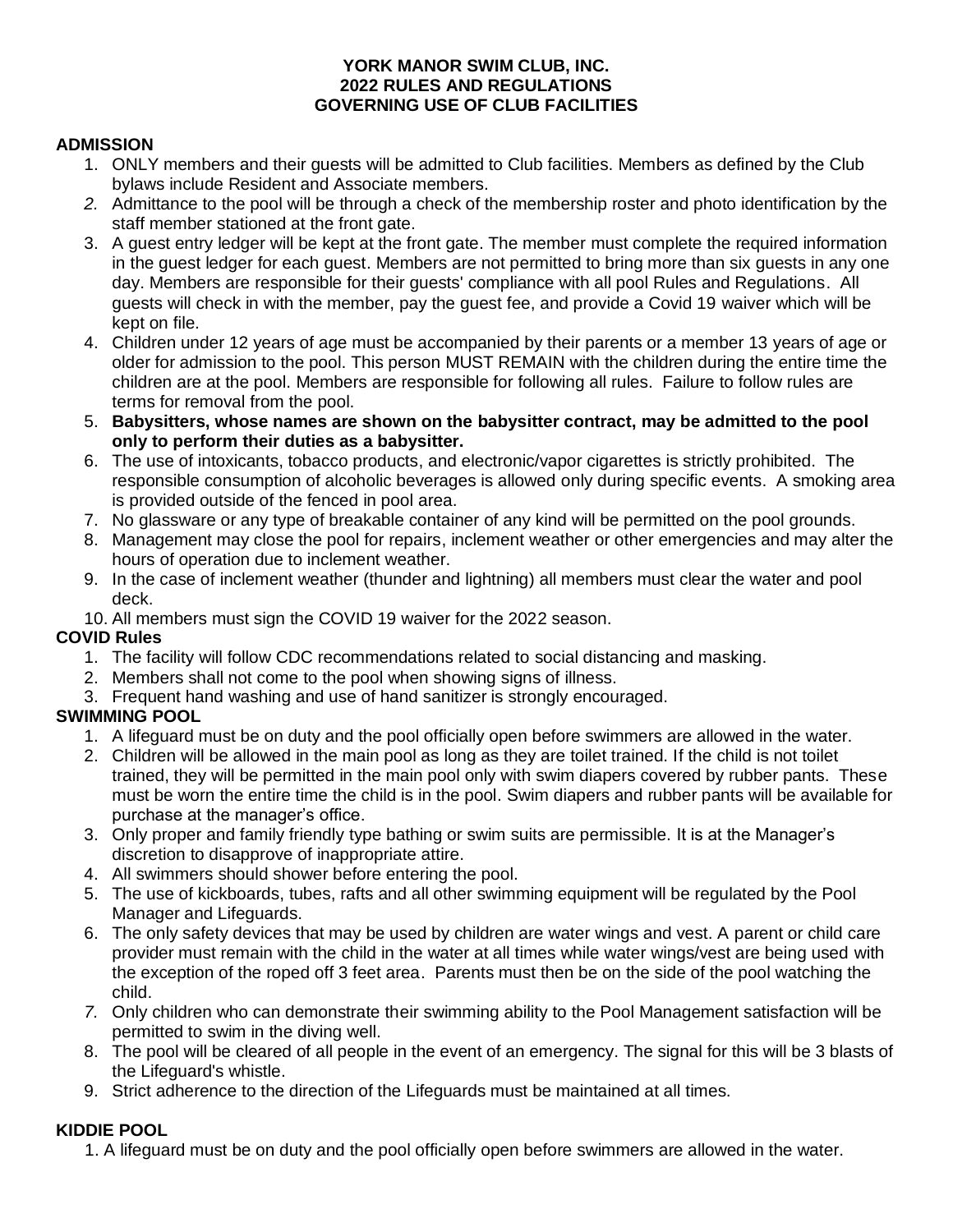#### **YORK MANOR SWIM CLUB, INC. 2022 RULES AND REGULATIONS GOVERNING USE OF CLUB FACILITIES**

#### **ADMISSION**

- 1. ONLY members and their guests will be admitted to Club facilities. Members as defined by the Club bylaws include Resident and Associate members.
- *2.* Admittance to the pool will be through a check of the membership roster and photo identification by the staff member stationed at the front gate.
- 3. A guest entry ledger will be kept at the front gate. The member must complete the required information in the guest ledger for each guest. Members are not permitted to bring more than six guests in any one day. Members are responsible for their guests' compliance with all pool Rules and Regulations. All guests will check in with the member, pay the guest fee, and provide a Covid 19 waiver which will be kept on file.
- 4. Children under 12 years of age must be accompanied by their parents or a member 13 years of age or older for admission to the pool. This person MUST REMAIN with the children during the entire time the children are at the pool. Members are responsible for following all rules. Failure to follow rules are terms for removal from the pool.
- 5. **Babysitters, whose names are shown on the babysitter contract, may be admitted to the pool only to perform their duties as a babysitter.**
- 6. The use of intoxicants, tobacco products, and electronic/vapor cigarettes is strictly prohibited. The responsible consumption of alcoholic beverages is allowed only during specific events. A smoking area is provided outside of the fenced in pool area.
- 7. No glassware or any type of breakable container of any kind will be permitted on the pool grounds.
- 8. Management may close the pool for repairs, inclement weather or other emergencies and may alter the hours of operation due to inclement weather.
- 9. In the case of inclement weather (thunder and lightning) all members must clear the water and pool deck.
- 10. All members must sign the COVID 19 waiver for the 2022 season.

### **COVID Rules**

- 1. The facility will follow CDC recommendations related to social distancing and masking.
- 2. Members shall not come to the pool when showing signs of illness.
- 3. Frequent hand washing and use of hand sanitizer is strongly encouraged.

## **SWIMMING POOL**

- 1. A lifeguard must be on duty and the pool officially open before swimmers are allowed in the water.
- 2. Children will be allowed in the main pool as long as they are toilet trained. If the child is not toilet trained, they will be permitted in the main pool only with swim diapers covered by rubber pants. These must be worn the entire time the child is in the pool. Swim diapers and rubber pants will be available for purchase at the manager's office.
- 3. Only proper and family friendly type bathing or swim suits are permissible. It is at the Manager's discretion to disapprove of inappropriate attire.
- 4. All swimmers should shower before entering the pool.
- 5. The use of kickboards, tubes, rafts and all other swimming equipment will be regulated by the Pool Manager and Lifeguards.
- 6. The only safety devices that may be used by children are water wings and vest. A parent or child care provider must remain with the child in the water at all times while water wings/vest are being used with the exception of the roped off 3 feet area. Parents must then be on the side of the pool watching the child.
- *7.* Only children who can demonstrate their swimming ability to the Pool Management satisfaction will be permitted to swim in the diving well.
- 8. The pool will be cleared of all people in the event of an emergency. The signal for this will be 3 blasts of the Lifeguard's whistle.
- 9. Strict adherence to the direction of the Lifeguards must be maintained at all times.

## **KIDDIE POOL**

1. A lifeguard must be on duty and the pool officially open before swimmers are allowed in the water.